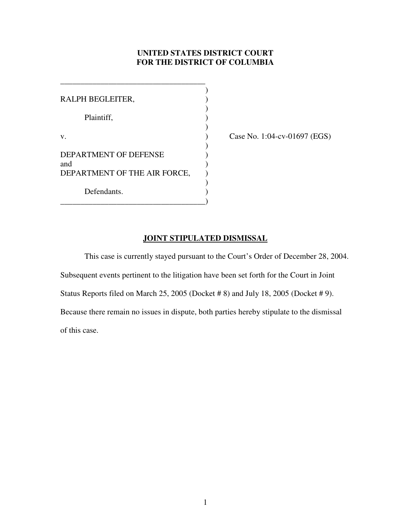## **UNITED STATES DISTRICT COURT FOR THE DISTRICT OF COLUMBIA**

| RALPH BEGLEITER,             |  |
|------------------------------|--|
| Plaintiff,                   |  |
| v.                           |  |
| DEPARTMENT OF DEFENSE<br>and |  |
| DEPARTMENT OF THE AIR FORCE, |  |
| Defendants.                  |  |

\_\_\_\_\_\_\_\_\_\_\_\_\_\_\_\_\_\_\_\_\_\_\_\_\_\_\_\_\_\_\_\_\_\_\_\_

Case No. 1:04-cv-01697 (EGS)

## **JOINT STIPULATED DISMISSAL**

This case is currently stayed pursuant to the Court's Order of December 28, 2004. Subsequent events pertinent to the litigation have been set forth for the Court in Joint Status Reports filed on March 25, 2005 (Docket # 8) and July 18, 2005 (Docket # 9). Because there remain no issues in dispute, both parties hereby stipulate to the dismissal of this case.